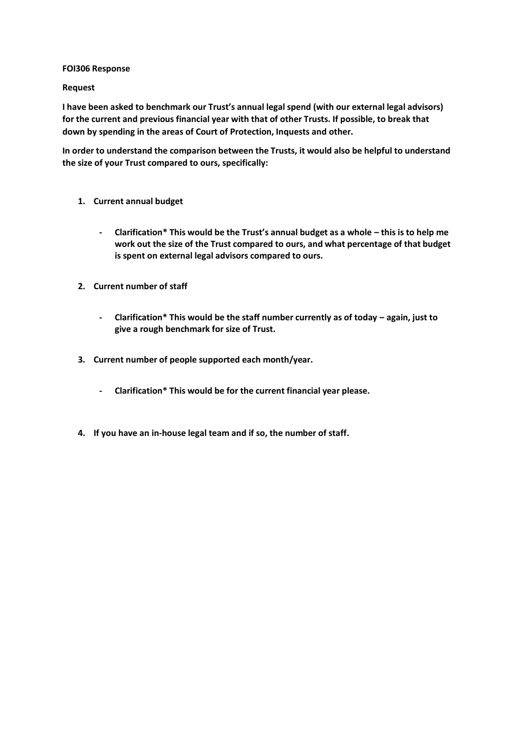### **FOI306 Response**

### **Request**

**I have been asked to benchmark our Trust's annual legal spend (with our external legal advisors) for the current and previous financial year with that of other Trusts. If possible, to break that down by spending in the areas of Court of Protection, Inquests and other.** 

**In order to understand the comparison between the Trusts, it would also be helpful to understand the size of your Trust compared to ours, specifically:**

- **1. Current annual budget**
	- **- Clarification\* This would be the Trust's annual budget as a whole – this is to help me work out the size of the Trust compared to ours, and what percentage of that budget is spent on external legal advisors compared to ours.**
- **2. Current number of staff**
	- **- Clarification\* This would be the staff number currently as of today – again, just to give a rough benchmark for size of Trust.**
- **3. Current number of people supported each month/year.**
	- **- Clarification\* This would be for the current financial year please.**
- **4. If you have an in-house legal team and if so, the number of staff.**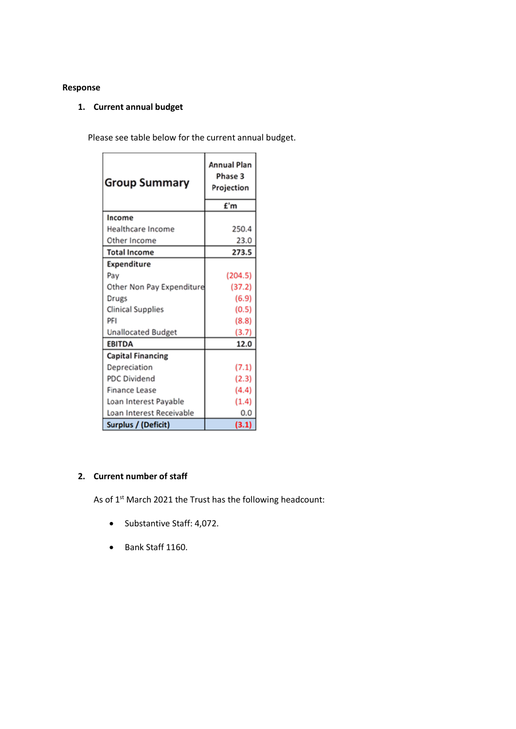## **Response**

# **1. Current annual budget**

 $\sim$ 

Please see table below for the current annual budget.

| <b>Group Summary</b>      | <b>Annual Plan</b><br>Phase 3<br>Projection |
|---------------------------|---------------------------------------------|
|                           | £'m                                         |
| Income                    |                                             |
| Healthcare Income         | 250.4                                       |
| Other Income              | 23.0                                        |
| <b>Total Income</b>       | 273.5                                       |
| <b>Expenditure</b>        |                                             |
| Pay                       | (204.5)                                     |
| Other Non Pay Expenditure | (37.2)                                      |
| Drugs                     | (6.9)                                       |
| <b>Clinical Supplies</b>  | (0.5)                                       |
| PFI                       | (8.8)                                       |
| <b>Unallocated Budget</b> | (3.7)                                       |
| <b>EBITDA</b>             | 12.0                                        |
| <b>Capital Financing</b>  |                                             |
| Depreciation              | (7.1)                                       |
| <b>PDC Dividend</b>       | (2.3)                                       |
| <b>Finance Lease</b>      | (4.4)                                       |
| Loan Interest Payable     | (1.4)                                       |
| Loan Interest Receivable  | 0.0                                         |
| Surplus / (Deficit)       | (3.1)                                       |

## **2. Current number of staff**

As of 1<sup>st</sup> March 2021 the Trust has the following headcount:

- Substantive Staff: 4,072.
- Bank Staff 1160.